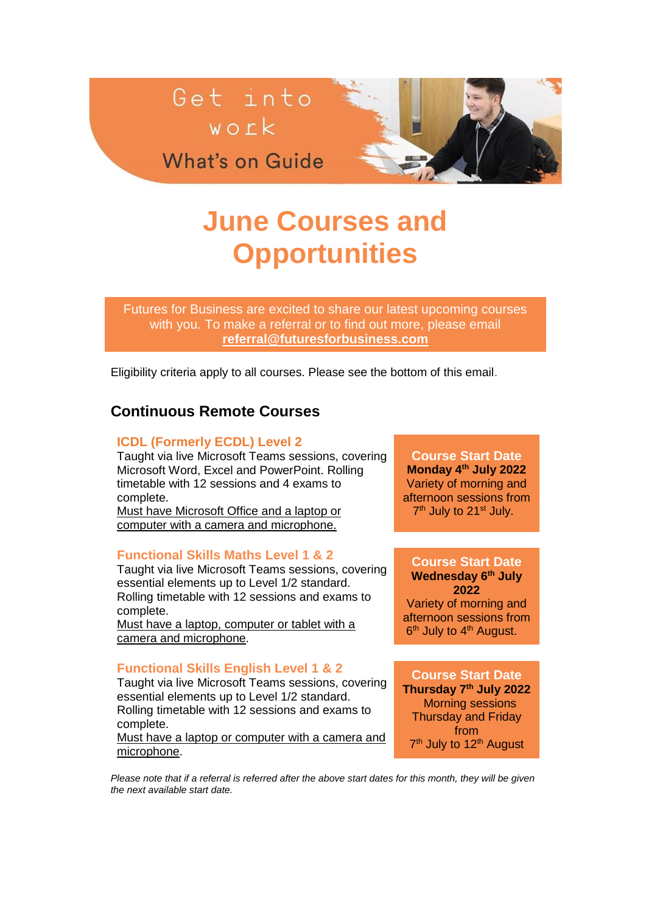

**What's on Guide** 

# **June Courses and Opportunities**

Futures for Business are excited to share our latest upcoming courses with you. To make a referral or to find out more, please email **[referral@futuresforbusiness.com](mailto:referral@futuresforbusiness.com)**

Eligibility criteria apply to all courses. Please see the bottom of this email.

# **Continuous Remote Courses**

## **ICDL (Formerly ECDL) Level 2**

Taught via live Microsoft Teams sessions, covering Microsoft Word, Excel and PowerPoint. Rolling timetable with 12 sessions and 4 exams to complete.

Must have Microsoft Office and a laptop or computer with a camera and microphone.

#### **Functional Skills Maths Level 1 & 2**

Taught via live Microsoft Teams sessions, covering essential elements up to Level 1/2 standard. Rolling timetable with 12 sessions and exams to complete.

Must have a laptop, computer or tablet with a camera and microphone.

## **Functional Skills English Level 1 & 2**

Taught via live Microsoft Teams sessions, covering essential elements up to Level 1/2 standard. Rolling timetable with 12 sessions and exams to complete.

Must have a laptop or computer with a camera and microphone.

**Course Start Date Monday 4th July 2022** Variety of morning and afternoon sessions from 7<sup>th</sup> July to 21<sup>st</sup> July.

## **Course Start Date Wednesday 6th July**

**2022** Variety of morning and afternoon sessions from 6<sup>th</sup> July to 4<sup>th</sup> August.

**Course Start Date Thursday 7th July 2022** Morning sessions Thursday and Friday from 7<sup>th</sup> July to 12<sup>th</sup> August

*Please note that if a referral is referred after the above start dates for this month, they will be given the next available start date.*